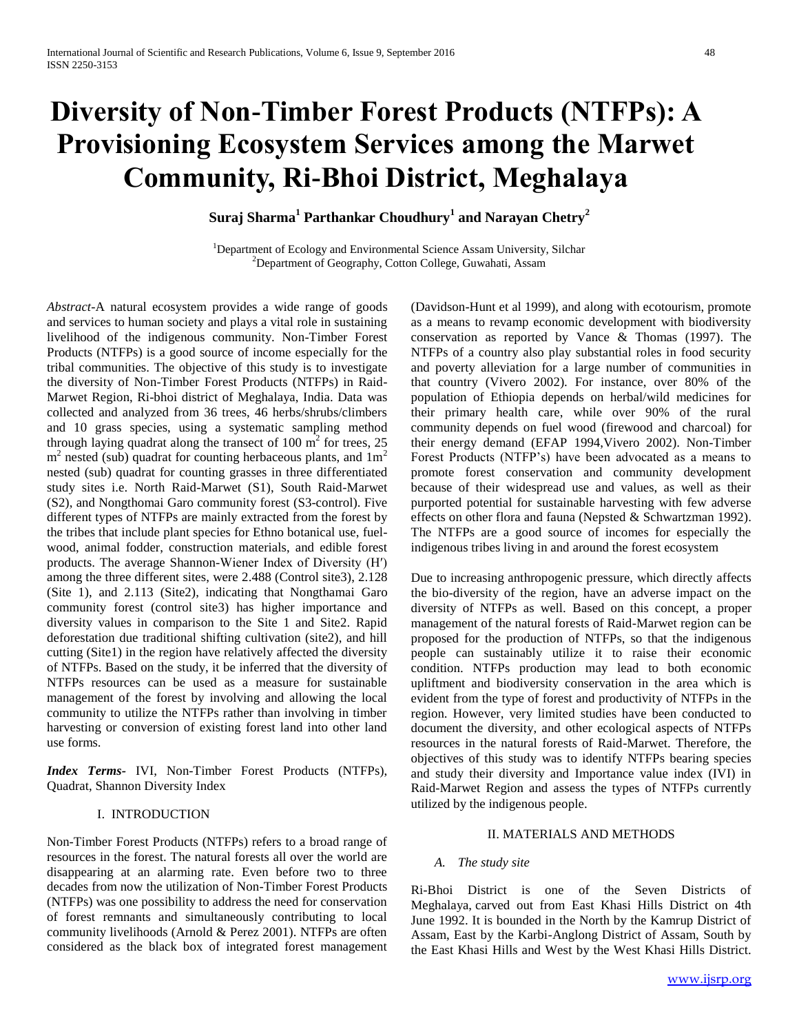# **Diversity of Non-Timber Forest Products (NTFPs): A Provisioning Ecosystem Services among the Marwet Community, Ri-Bhoi District, Meghalaya**

**Suraj Sharma<sup>1</sup> Parthankar Choudhury<sup>1</sup> and Narayan Chetry<sup>2</sup>**

<sup>1</sup>Department of Ecology and Environmental Science Assam University, Silchar <sup>2</sup>Department of Geography, Cotton College, Guwahati, Assam

*Abstract-*A natural ecosystem provides a wide range of goods and services to human society and plays a vital role in sustaining livelihood of the indigenous community. Non-Timber Forest Products (NTFPs) is a good source of income especially for the tribal communities. The objective of this study is to investigate the diversity of Non-Timber Forest Products (NTFPs) in Raid-Marwet Region, Ri-bhoi district of Meghalaya, India. Data was collected and analyzed from 36 trees, 46 herbs/shrubs/climbers and 10 grass species, using a systematic sampling method through laying quadrat along the transect of 100  $\text{m}^2$  for trees, 25  $m<sup>2</sup>$  nested (sub) quadrat for counting herbaceous plants, and  $1m<sup>2</sup>$ nested (sub) quadrat for counting grasses in three differentiated study sites i.e. North Raid-Marwet (S1), South Raid-Marwet (S2), and Nongthomai Garo community forest (S3-control). Five different types of NTFPs are mainly extracted from the forest by the tribes that include plant species for Ethno botanical use, fuelwood, animal fodder, construction materials, and edible forest products. The average Shannon-Wiener Index of Diversity (H′) among the three different sites, were 2.488 (Control site3), 2.128 (Site 1), and 2.113 (Site2), indicating that Nongthamai Garo community forest (control site3) has higher importance and diversity values in comparison to the Site 1 and Site2. Rapid deforestation due traditional shifting cultivation (site2), and hill cutting (Site1) in the region have relatively affected the diversity of NTFPs. Based on the study, it be inferred that the diversity of NTFPs resources can be used as a measure for sustainable management of the forest by involving and allowing the local community to utilize the NTFPs rather than involving in timber harvesting or conversion of existing forest land into other land use forms.

*Index Terms-* IVI, Non-Timber Forest Products (NTFPs), Quadrat, Shannon Diversity Index

# I. INTRODUCTION

Non-Timber Forest Products (NTFPs) refers to a broad range of resources in the forest. The natural forests all over the world are disappearing at an alarming rate. Even before two to three decades from now the utilization of Non-Timber Forest Products (NTFPs) was one possibility to address the need for conservation of forest remnants and simultaneously contributing to local community livelihoods (Arnold & Perez 2001). NTFPs are often considered as the black box of integrated forest management

(Davidson-Hunt et al 1999), and along with ecotourism, promote as a means to revamp economic development with biodiversity conservation as reported by Vance & Thomas (1997). The NTFPs of a country also play substantial roles in food security and poverty alleviation for a large number of communities in that country (Vivero 2002). For instance, over 80% of the population of Ethiopia depends on herbal/wild medicines for their primary health care, while over 90% of the rural community depends on fuel wood (firewood and charcoal) for their energy demand (EFAP 1994,Vivero 2002). Non-Timber Forest Products (NTFP's) have been advocated as a means to promote forest conservation and community development because of their widespread use and values, as well as their purported potential for sustainable harvesting with few adverse effects on other flora and fauna (Nepsted & Schwartzman 1992). The NTFPs are a good source of incomes for especially the indigenous tribes living in and around the forest ecosystem

Due to increasing anthropogenic pressure, which directly affects the bio-diversity of the region, have an adverse impact on the diversity of NTFPs as well. Based on this concept, a proper management of the natural forests of Raid-Marwet region can be proposed for the production of NTFPs, so that the indigenous people can sustainably utilize it to raise their economic condition. NTFPs production may lead to both economic upliftment and biodiversity conservation in the area which is evident from the type of forest and productivity of NTFPs in the region. However, very limited studies have been conducted to document the diversity, and other ecological aspects of NTFPs resources in the natural forests of Raid-Marwet. Therefore, the objectives of this study was to identify NTFPs bearing species and study their diversity and Importance value index (IVI) in Raid-Marwet Region and assess the types of NTFPs currently utilized by the indigenous people.

## II. MATERIALS AND METHODS

#### *A. The study site*

Ri-Bhoi District is one of the Seven Districts of Meghalaya, carved out from East Khasi Hills District on 4th June 1992. It is bounded in the North by the Kamrup District of Assam, East by the Karbi-Anglong District of Assam, South by the East Khasi Hills and West by the West Khasi Hills District.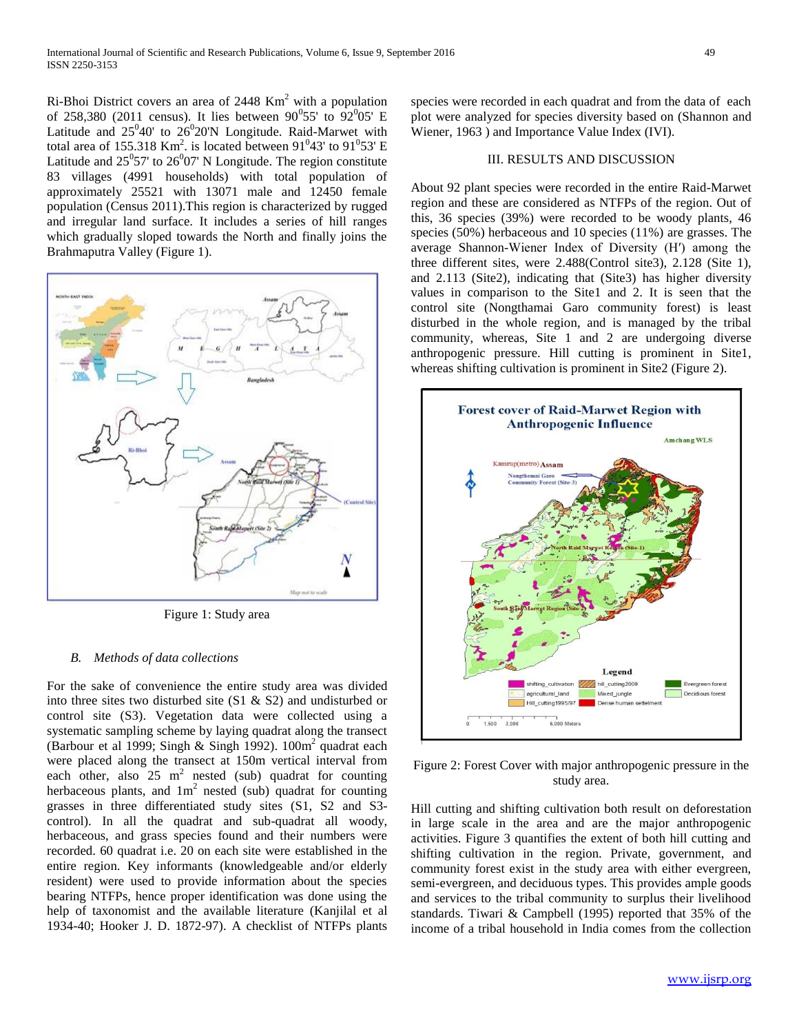$Ri-Bhoi$  District covers an area of 2448 Km<sup>2</sup> with a population of 258,380 (2011 census). It lies between  $90^{\circ}55'$  to  $92^{\circ}05'$  E Latitude and  $25^0 40'$  to  $26^0 20' N$  Longitude. Raid-Marwet with total area of 155.318 Km<sup>2</sup>. is located between  $91^043'$  to  $91^053'$  E Latitude and  $25^{\circ}57'$  to  $26^{\circ}07'$  N Longitude. The region constitute 83 villages (4991 households) with total population of approximately 25521 with 13071 male and 12450 female population (Census 2011).This region is characterized by rugged and irregular land surface. It includes a series of hill ranges which gradually sloped towards the North and finally joins the Brahmaputra Valley (Figure 1).



Figure 1: Study area

# *B. Methods of data collections*

For the sake of convenience the entire study area was divided into three sites two disturbed site (S1 & S2) and undisturbed or control site (S3). Vegetation data were collected using a systematic sampling scheme by laying quadrat along the transect (Barbour et al 1999; Singh & Singh 1992).  $100m^2$  quadrat each were placed along the transect at 150m vertical interval from each other, also  $25 \text{ m}^2$  nested (sub) quadrat for counting herbaceous plants, and  $1m^2$  nested (sub) quadrat for counting grasses in three differentiated study sites (S1, S2 and S3 control). In all the quadrat and sub-quadrat all woody, herbaceous, and grass species found and their numbers were recorded. 60 quadrat i.e. 20 on each site were established in the entire region. Key informants (knowledgeable and/or elderly resident) were used to provide information about the species bearing NTFPs, hence proper identification was done using the help of taxonomist and the available literature (Kanjilal et al 1934-40; Hooker J. D. 1872-97). A checklist of NTFPs plants

species were recorded in each quadrat and from the data of each plot were analyzed for species diversity based on (Shannon and Wiener, 1963 ) and Importance Value Index (IVI).

## III. RESULTS AND DISCUSSION

About 92 plant species were recorded in the entire Raid-Marwet region and these are considered as NTFPs of the region. Out of this, 36 species (39%) were recorded to be woody plants, 46 species (50%) herbaceous and 10 species (11%) are grasses. The average Shannon-Wiener Index of Diversity (H′) among the three different sites, were 2.488(Control site3), 2.128 (Site 1), and 2.113 (Site2), indicating that (Site3) has higher diversity values in comparison to the Site1 and 2. It is seen that the control site (Nongthamai Garo community forest) is least disturbed in the whole region, and is managed by the tribal community, whereas, Site 1 and 2 are undergoing diverse anthropogenic pressure. Hill cutting is prominent in Site1, whereas shifting cultivation is prominent in Site2 (Figure 2).



Figure 2: Forest Cover with major anthropogenic pressure in the study area.

Hill cutting and shifting cultivation both result on deforestation in large scale in the area and are the major anthropogenic activities. Figure 3 quantifies the extent of both hill cutting and shifting cultivation in the region. Private, government, and community forest exist in the study area with either evergreen, semi-evergreen, and deciduous types. This provides ample goods and services to the tribal community to surplus their livelihood standards. Tiwari & Campbell (1995) reported that 35% of the income of a tribal household in India comes from the collection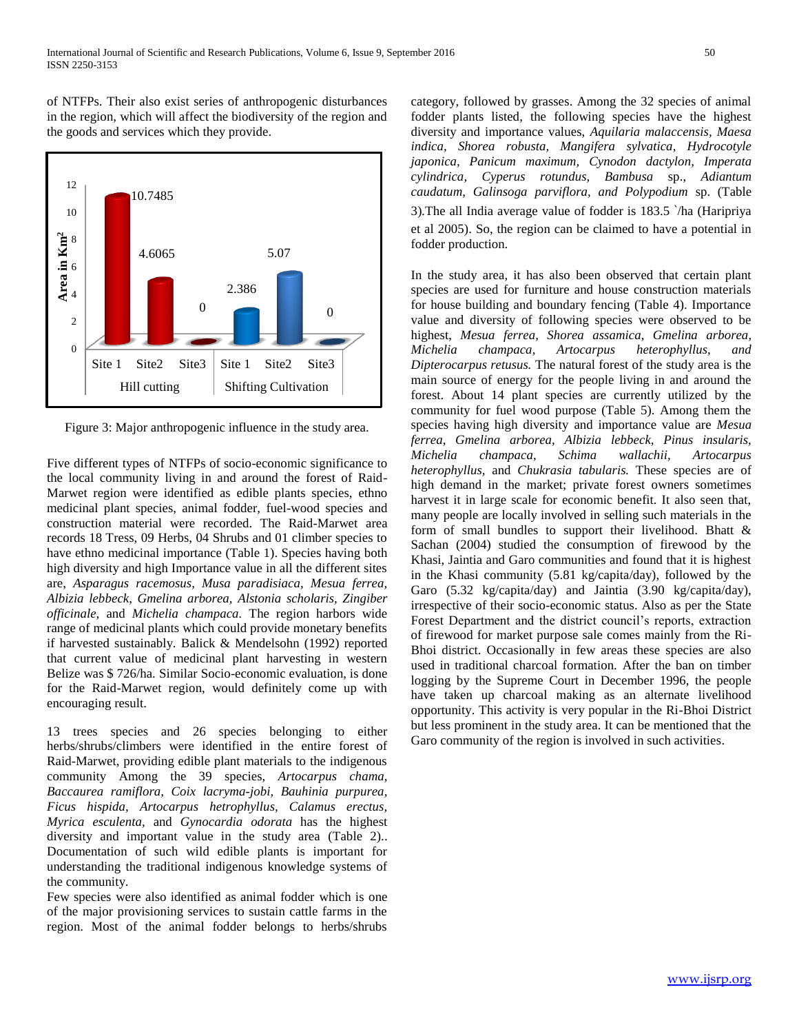of NTFPs. Their also exist series of anthropogenic disturbances in the region, which will affect the biodiversity of the region and the goods and services which they provide.



Figure 3: Major anthropogenic influence in the study area.

Five different types of NTFPs of socio-economic significance to the local community living in and around the forest of Raid-Marwet region were identified as edible plants species, ethno medicinal plant species, animal fodder, fuel-wood species and construction material were recorded. The Raid-Marwet area records 18 Tress, 09 Herbs, 04 Shrubs and 01 climber species to have ethno medicinal importance (Table 1). Species having both high diversity and high Importance value in all the different sites are, *Asparagus racemosus, Musa paradisiaca, Mesua ferrea, Albizia lebbeck, Gmelina arborea, Alstonia scholaris, Zingiber officinale,* and *Michelia champaca.* The region harbors wide range of medicinal plants which could provide monetary benefits if harvested sustainably. Balick & Mendelsohn (1992) reported that current value of medicinal plant harvesting in western Belize was \$ 726/ha. Similar Socio-economic evaluation, is done for the Raid-Marwet region, would definitely come up with encouraging result.

13 trees species and 26 species belonging to either herbs/shrubs/climbers were identified in the entire forest of Raid-Marwet, providing edible plant materials to the indigenous community Among the 39 species, *Artocarpus chama, Baccaurea ramiflora, Coix lacryma-jobi, Bauhinia purpurea, Ficus hispida, Artocarpus hetrophyllus, Calamus erectus, Myrica esculenta,* and *Gynocardia odorata* has the highest diversity and important value in the study area (Table 2).. Documentation of such wild edible plants is important for understanding the traditional indigenous knowledge systems of the community.

Few species were also identified as animal fodder which is one of the major provisioning services to sustain cattle farms in the region. Most of the animal fodder belongs to herbs/shrubs

category, followed by grasses. Among the 32 species of animal fodder plants listed, the following species have the highest diversity and importance values, *Aquilaria malaccensis, Maesa indica, Shorea robusta, Mangifera sylvatica, Hydrocotyle japonica, Panicum maximum, Cynodon dactylon, Imperata cylindrica, Cyperus rotundus, Bambusa* sp., *Adiantum caudatum, Galinsoga parviflora, and Polypodium* sp. (Table 3)*.*The all India average value of fodder is 183.5 `/ha (Haripriya et al 2005). So, the region can be claimed to have a potential in fodder production.

In the study area, it has also been observed that certain plant species are used for furniture and house construction materials for house building and boundary fencing (Table 4). Importance value and diversity of following species were observed to be highest, *Mesua ferrea, Shorea assamica, Gmelina arborea, Michelia champaca, Artocarpus heterophyllus, and Dipterocarpus retusus.* The natural forest of the study area is the main source of energy for the people living in and around the forest. About 14 plant species are currently utilized by the community for fuel wood purpose (Table 5). Among them the species having high diversity and importance value are *Mesua ferrea, Gmelina arborea, Albizia lebbeck, Pinus insularis, Michelia champaca, Schima wallachii, Artocarpus heterophyllus,* and *Chukrasia tabularis.* These species are of high demand in the market; private forest owners sometimes harvest it in large scale for economic benefit. It also seen that, many people are locally involved in selling such materials in the form of small bundles to support their livelihood*.* Bhatt & Sachan (2004) studied the consumption of firewood by the Khasi, Jaintia and Garo communities and found that it is highest in the Khasi community (5.81 kg/capita/day), followed by the Garo (5.32 kg/capita/day) and Jaintia (3.90 kg/capita/day), irrespective of their socio-economic status. Also as per the State Forest Department and the district council's reports, extraction of firewood for market purpose sale comes mainly from the Ri-Bhoi district. Occasionally in few areas these species are also used in traditional charcoal formation. After the ban on timber logging by the Supreme Court in December 1996, the people have taken up charcoal making as an alternate livelihood opportunity. This activity is very popular in the Ri-Bhoi District but less prominent in the study area. It can be mentioned that the Garo community of the region is involved in such activities.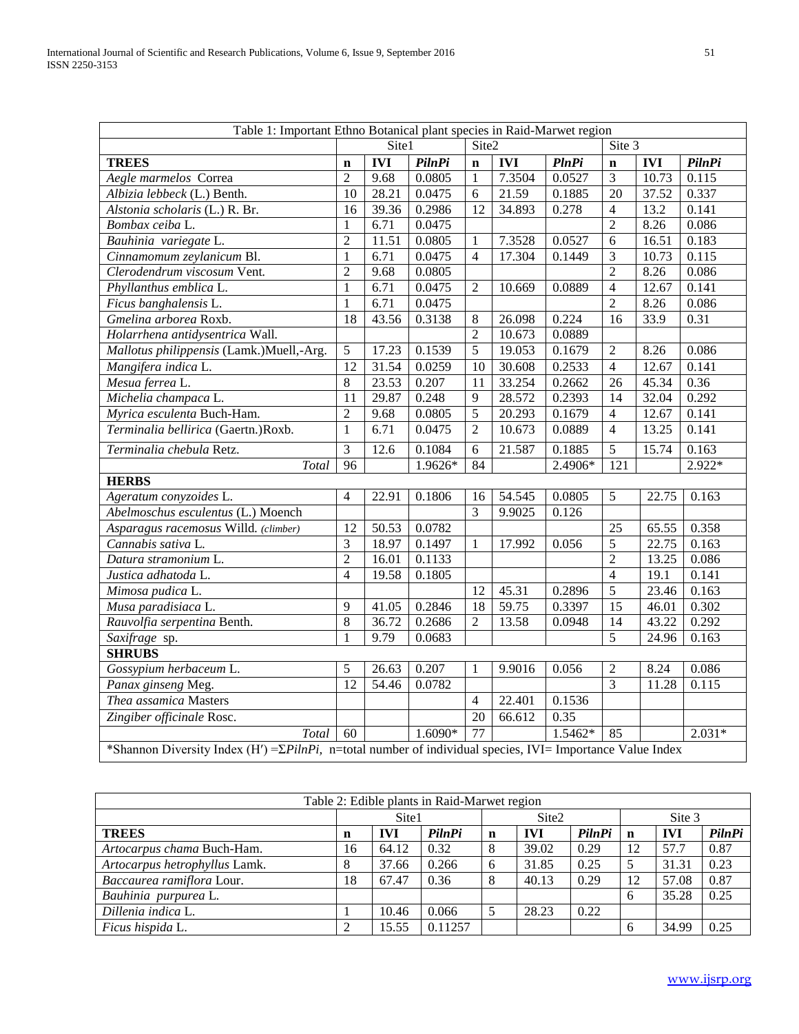| Table 1: Important Ethno Botanical plant species in Raid-Marwet region                                                      |                 |            |               |                 |            |              |                 |            |               |  |
|-----------------------------------------------------------------------------------------------------------------------------|-----------------|------------|---------------|-----------------|------------|--------------|-----------------|------------|---------------|--|
|                                                                                                                             |                 | Site1      |               | Site2<br>Site 3 |            |              |                 |            |               |  |
| <b>TREES</b>                                                                                                                | $\mathbf n$     | <b>IVI</b> | <b>PilnPi</b> | $\mathbf n$     | <b>IVI</b> | <b>PlnPi</b> | $\mathbf n$     | <b>IVI</b> | <b>PilnPi</b> |  |
| Aegle marmelos Correa                                                                                                       | $\overline{2}$  | 9.68       | 0.0805        | $\mathbf{1}$    | 7.3504     | 0.0527       | $\overline{3}$  | 10.73      | 0.115         |  |
| Albizia lebbeck (L.) Benth.                                                                                                 | 10              | 28.21      | 0.0475        | 6               | 21.59      | 0.1885       | 20              | 37.52      | 0.337         |  |
| Alstonia scholaris (L.) R. Br.                                                                                              | 16              | 39.36      | 0.2986        | 12              | 34.893     | 0.278        | $\overline{4}$  | 13.2       | 0.141         |  |
| Bombax ceiba L.                                                                                                             | $\mathbf{1}$    | 6.71       | 0.0475        |                 |            |              | $\overline{2}$  | 8.26       | 0.086         |  |
| Bauhinia variegate L.                                                                                                       | $\overline{2}$  | 11.51      | 0.0805        | $\mathbf{1}$    | 7.3528     | 0.0527       | 6               | 16.51      | 0.183         |  |
| Cinnamomum zeylanicum Bl.                                                                                                   | $\mathbf{1}$    | 6.71       | 0.0475        | $\overline{4}$  | 17.304     | 0.1449       | 3               | 10.73      | 0.115         |  |
| Clerodendrum viscosum Vent.                                                                                                 | $\overline{2}$  | 9.68       | 0.0805        |                 |            |              | $\overline{2}$  | 8.26       | 0.086         |  |
| Phyllanthus emblica L.                                                                                                      | $\mathbf{1}$    | 6.71       | 0.0475        | $\overline{2}$  | 10.669     | 0.0889       | 4               | 12.67      | 0.141         |  |
| Ficus banghalensis L.                                                                                                       | $\mathbf{1}$    | 6.71       | 0.0475        |                 |            |              | $\overline{2}$  | 8.26       | 0.086         |  |
| Gmelina arborea Roxb.                                                                                                       | $\overline{18}$ | 43.56      | 0.3138        | 8               | 26.098     | 0.224        | 16              | 33.9       | 0.31          |  |
| Holarrhena antidysentrica Wall.                                                                                             |                 |            |               | $\overline{2}$  | 10.673     | 0.0889       |                 |            |               |  |
| Mallotus philippensis (Lamk.)Muell,-Arg.                                                                                    | $\sqrt{5}$      | 17.23      | 0.1539        | 5               | 19.053     | 0.1679       | $\overline{2}$  | 8.26       | 0.086         |  |
| Mangifera indica L.                                                                                                         | 12              | 31.54      | 0.0259        | 10              | 30.608     | 0.2533       | $\overline{4}$  | 12.67      | 0.141         |  |
| Mesua ferrea L.                                                                                                             | $\overline{8}$  | 23.53      | 0.207         | $\overline{11}$ | 33.254     | 0.2662       | $\overline{26}$ | 45.34      | 0.36          |  |
| Michelia champaca L.                                                                                                        | $\overline{11}$ | 29.87      | 0.248         | 9               | 28.572     | 0.2393       | 14              | 32.04      | 0.292         |  |
| Myrica esculenta Buch-Ham.                                                                                                  | $\overline{2}$  | 9.68       | 0.0805        | $\overline{5}$  | 20.293     | 0.1679       | $\overline{4}$  | 12.67      | 0.141         |  |
| Terminalia bellirica (Gaertn.)Roxb.                                                                                         | $\mathbf{1}$    | 6.71       | 0.0475        | $\overline{2}$  | 10.673     | 0.0889       | $\overline{4}$  | 13.25      | 0.141         |  |
| Terminalia chebula Retz.                                                                                                    | $\overline{3}$  | 12.6       | 0.1084        | 6               | 21.587     | 0.1885       | $\overline{5}$  | 15.74      | 0.163         |  |
| Total                                                                                                                       | 96              |            | 1.9626*       | 84              |            | 2.4906*      | 121             |            | $2.922*$      |  |
| <b>HERBS</b>                                                                                                                |                 |            |               |                 |            |              |                 |            |               |  |
| Ageratum conyzoides L.                                                                                                      | $\overline{4}$  | 22.91      | 0.1806        | 16              | 54.545     | 0.0805       | 5               | 22.75      | 0.163         |  |
| Abelmoschus esculentus (L.) Moench                                                                                          |                 |            |               | $\overline{3}$  | 9.9025     | 0.126        |                 |            |               |  |
| Asparagus racemosus Willd. (climber)                                                                                        | $\overline{12}$ | 50.53      | 0.0782        |                 |            |              | 25              | 65.55      | 0.358         |  |
| Cannabis sativa L.                                                                                                          | 3               | 18.97      | 0.1497        | 1               | 17.992     | 0.056        | 5               | 22.75      | 0.163         |  |
| Datura stramonium L.                                                                                                        | $\overline{c}$  | 16.01      | 0.1133        |                 |            |              | $\overline{2}$  | 13.25      | 0.086         |  |
| Justica adhatoda L.                                                                                                         | $\overline{4}$  | 19.58      | 0.1805        |                 |            |              | $\overline{4}$  | 19.1       | 0.141         |  |
| Mimosa pudica L.                                                                                                            |                 |            |               | $\overline{12}$ | 45.31      | 0.2896       | $\overline{5}$  | 23.46      | 0.163         |  |
| Musa paradisiaca L.                                                                                                         | $\overline{9}$  | 41.05      | 0.2846        | 18              | 59.75      | 0.3397       | 15              | 46.01      | 0.302         |  |
| Rauvolfia serpentina Benth.                                                                                                 | $\overline{8}$  | 36.72      | 0.2686        | $\overline{2}$  | 13.58      | 0.0948       | 14              | 43.22      | 0.292         |  |
| Saxifrage sp.                                                                                                               | $\mathbf{1}$    | 9.79       | 0.0683        |                 |            |              | $\overline{5}$  | 24.96      | 0.163         |  |
| <b>SHRUBS</b>                                                                                                               |                 |            |               |                 |            |              |                 |            |               |  |
| Gossypium herbaceum L.                                                                                                      | $\overline{5}$  | 26.63      | 0.207         | $\mathbf{1}$    | 9.9016     | 0.056        | $\overline{2}$  | 8.24       | 0.086         |  |
| Panax ginseng Meg.                                                                                                          | 12              | 54.46      | 0.0782        |                 |            |              | $\overline{3}$  | 11.28      | 0.115         |  |
| Thea assamica Masters                                                                                                       |                 |            |               | $\overline{4}$  | 22.401     | 0.1536       |                 |            |               |  |
| Zingiber officinale Rosc.                                                                                                   |                 |            |               | $\overline{20}$ | 66.612     | 0.35         |                 |            |               |  |
| Total                                                                                                                       | 60              |            | $1.6090*$     | 77              |            | $1.5462*$    | 85              |            | $2.031*$      |  |
| *Shannon Diversity Index (H') = $\Sigma P$ <i>ilnPi</i> , n=total number of individual species, IVI= Importance Value Index |                 |            |               |                 |            |              |                 |            |               |  |

| Table 2: Edible plants in Raid-Marwet region |       |            |               |   |                   |        |        |            |        |  |  |
|----------------------------------------------|-------|------------|---------------|---|-------------------|--------|--------|------------|--------|--|--|
|                                              | Site1 |            |               |   | Site <sub>2</sub> |        | Site 3 |            |        |  |  |
| <b>TREES</b>                                 | n     | <b>IVI</b> | <b>PilnPi</b> | n | <b>IVI</b>        | PilnPi | n      | <b>IVI</b> | PilnPi |  |  |
| Artocarpus chama Buch-Ham.                   | 16    | 64.12      | 0.32          | 8 | 39.02             | 0.29   | 12     | 57.7       | 0.87   |  |  |
| Artocarpus hetrophyllus Lamk.                | 8     | 37.66      | 0.266         | 6 | 31.85             | 0.25   |        | 31.31      | 0.23   |  |  |
| Baccaurea ramiflora Lour.                    | 18    | 67.47      | 0.36          | 8 | 40.13             | 0.29   | 12     | 57.08      | 0.87   |  |  |
| Bauhinia purpurea L.                         |       |            |               |   |                   |        | 6      | 35.28      | 0.25   |  |  |
| Dillenia indica L.                           |       | 10.46      | 0.066         |   | 28.23             | 0.22   |        |            |        |  |  |
| Ficus hispida L.                             | ി     | 15.55      | 0.11257       |   |                   |        |        | 34.99      | 0.25   |  |  |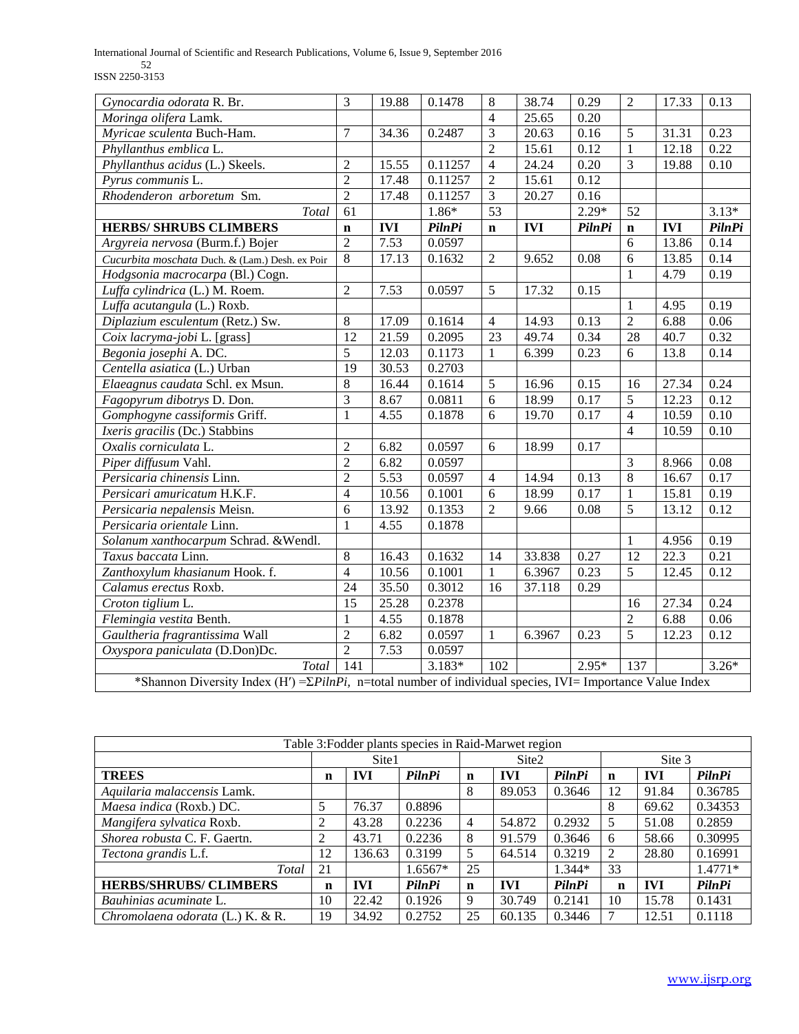International Journal of Scientific and Research Publications, Volume 6, Issue 9, September 2016 52 ISSN 2250-3153

| Gynocardia odorata R. Br.                                                                                           | 3                | 19.88      | 0.1478        | 8              | 38.74      | 0.29          | $\overline{2}$  | 17.33      | 0.13          |
|---------------------------------------------------------------------------------------------------------------------|------------------|------------|---------------|----------------|------------|---------------|-----------------|------------|---------------|
| Moringa olifera Lamk.                                                                                               |                  |            |               | $\overline{4}$ | 25.65      | 0.20          |                 |            |               |
| Myricae sculenta Buch-Ham.                                                                                          | $\tau$           | 34.36      | 0.2487        | $\overline{3}$ | 20.63      | 0.16          | 5               | 31.31      | 0.23          |
| Phyllanthus emblica L.                                                                                              |                  |            |               | $\overline{2}$ | 15.61      | 0.12          | $\mathbf{1}$    | 12.18      | 0.22          |
| Phyllanthus acidus (L.) Skeels.                                                                                     | $\mathfrak{2}$   | 15.55      | 0.11257       | $\overline{4}$ | 24.24      | 0.20          | 3               | 19.88      | 0.10          |
| Pyrus communis L.                                                                                                   | $\overline{2}$   | 17.48      | 0.11257       | $\overline{2}$ | 15.61      | 0.12          |                 |            |               |
| Rhodenderon arboretum Sm.                                                                                           | $\overline{2}$   | 17.48      | 0.11257       | $\overline{3}$ | 20.27      | 0.16          |                 |            |               |
| Total                                                                                                               | $\overline{61}$  |            | 1.86*         | 53             |            | $2.29*$       | 52              |            | $3.13*$       |
| <b>HERBS/ SHRUBS CLIMBERS</b>                                                                                       | $\mathbf n$      | <b>IVI</b> | <b>PilnPi</b> | $\mathbf n$    | <b>IVI</b> | <b>PilnPi</b> | $\mathbf n$     | <b>IVI</b> | <b>PilnPi</b> |
| Argyreia nervosa (Burm.f.) Bojer                                                                                    | $\overline{2}$   | 7.53       | 0.0597        |                |            |               | 6               | 13.86      | 0.14          |
| Cucurbita moschata Duch. & (Lam.) Desh. ex Poir                                                                     | $\overline{8}$   | 17.13      | 0.1632        | $\overline{2}$ | 9.652      | 0.08          | $\overline{6}$  | 13.85      | 0.14          |
| Hodgsonia macrocarpa (Bl.) Cogn.                                                                                    |                  |            |               |                |            |               | 1               | 4.79       | 0.19          |
| Luffa cylindrica (L.) M. Roem.                                                                                      | $\overline{2}$   | 7.53       | 0.0597        | 5              | 17.32      | 0.15          |                 |            |               |
| Luffa acutangula (L.) Roxb.                                                                                         |                  |            |               |                |            |               | $\mathbf{1}$    | 4.95       | 0.19          |
| Diplazium esculentum (Retz.) Sw.                                                                                    | $\overline{8}$   | 17.09      | 0.1614        | $\overline{4}$ | 14.93      | 0.13          | $\overline{2}$  | 6.88       | 0.06          |
| Coix lacryma-jobi L. [grass]                                                                                        | $\overline{12}$  | 21.59      | 0.2095        | 23             | 49.74      | 0.34          | $\overline{28}$ | 40.7       | 0.32          |
| Begonia josephi A. DC.                                                                                              | $\overline{5}$   | 12.03      | 0.1173        | 1              | 6.399      | 0.23          | 6               | 13.8       | 0.14          |
| Centella asiatica (L.) Urban                                                                                        | $\overline{19}$  | 30.53      | 0.2703        |                |            |               |                 |            |               |
| Elaeagnus caudata Schl. ex Msun.                                                                                    | $\overline{8}$   | 16.44      | 0.1614        | 5              | 16.96      | 0.15          | 16              | 27.34      | 0.24          |
| Fagopyrum dibotrys D. Don.                                                                                          | $\overline{3}$   | 8.67       | 0.0811        | 6              | 18.99      | 0.17          | $\overline{5}$  | 12.23      | 0.12          |
| Gomphogyne cassiformis Griff.                                                                                       | $\mathbf{1}$     | 4.55       | 0.1878        | 6              | 19.70      | 0.17          | $\overline{4}$  | 10.59      | 0.10          |
| Ixeris gracilis (Dc.) Stabbins                                                                                      |                  |            |               |                |            |               | $\overline{4}$  | 10.59      | 0.10          |
| Oxalis corniculata L.                                                                                               | $\mathbf{2}$     | 6.82       | 0.0597        | 6              | 18.99      | 0.17          |                 |            |               |
| Piper diffusum Vahl.                                                                                                | $\overline{c}$   | 6.82       | 0.0597        |                |            |               | $\overline{3}$  | 8.966      | 0.08          |
| Persicaria chinensis Linn.                                                                                          | $\overline{c}$   | 5.53       | 0.0597        | 4              | 14.94      | 0.13          | 8               | 16.67      | 0.17          |
| Persicari amuricatum H.K.F.                                                                                         | $\overline{4}$   | 10.56      | 0.1001        | 6              | 18.99      | 0.17          | 1               | 15.81      | 0.19          |
| Persicaria nepalensis Meisn.                                                                                        | 6                | 13.92      | 0.1353        | $\overline{2}$ | 9.66       | 0.08          | $\overline{5}$  | 13.12      | 0.12          |
| Persicaria orientale Linn.                                                                                          | $\mathbf{1}$     | 4.55       | 0.1878        |                |            |               |                 |            |               |
| Solanum xanthocarpum Schrad. & Wendl.                                                                               |                  |            |               |                |            |               | 1               | 4.956      | 0.19          |
| Taxus baccata Linn.                                                                                                 | $\overline{8}$   | 16.43      | 0.1632        | 14             | 33.838     | 0.27          | 12              | 22.3       | 0.21          |
| Zanthoxylum khasianum Hook. f.                                                                                      | $\overline{4}$   | 10.56      | 0.1001        | $\mathbf{1}$   | 6.3967     | 0.23          | $\overline{5}$  | 12.45      | 0.12          |
| Calamus erectus Roxb.                                                                                               | 24               | 35.50      | 0.3012        | 16             | 37.118     | 0.29          |                 |            |               |
| Croton tiglium L.                                                                                                   | $\overline{15}$  | 25.28      | 0.2378        |                |            |               | 16              | 27.34      | 0.24          |
| Flemingia vestita Benth.                                                                                            | $\mathbf{1}$     | 4.55       | 0.1878        |                |            |               | $\overline{2}$  | 6.88       | 0.06          |
| Gaultheria fragrantissima Wall                                                                                      | $\overline{2}$   | 6.82       | 0.0597        | 1              | 6.3967     | 0.23          | $\overline{5}$  | 12.23      | 0.12          |
| Oxyspora paniculata (D.Don)Dc.                                                                                      | $\overline{2}$   | 7.53       | 0.0597        |                |            |               |                 |            |               |
| Total                                                                                                               | $\overline{141}$ |            | $3.183*$      | 102            |            | $2.95*$       | 137             |            | $3.26*$       |
| *Shannon Diversity Index (H') = $\Sigma$ PilnPi, n=total number of individual species, IVI = Importance Value Index |                  |            |               |                |            |               |                 |            |               |

| Table 3: Fodder plants species in Raid-Marwet region |    |        |               |                |            |               |             |            |           |  |  |
|------------------------------------------------------|----|--------|---------------|----------------|------------|---------------|-------------|------------|-----------|--|--|
|                                                      |    | Site1  |               |                | Site2      |               | Site 3      |            |           |  |  |
| <b>TREES</b>                                         | n  | IVI    | <b>PilnPi</b> | n              | <b>IVI</b> | PilnPi        | n           | IVI        | PilnPi    |  |  |
| Aquilaria malaccensis Lamk.                          |    |        |               | 8              | 89.053     | 0.3646        | 12          | 91.84      | 0.36785   |  |  |
| Maesa indica (Roxb.) DC.                             | 5  | 76.37  | 0.8896        |                |            |               | 8           | 69.62      | 0.34353   |  |  |
| Mangifera sylvatica Roxb.                            |    | 43.28  | 0.2236        | $\overline{4}$ | 54.872     | 0.2932        |             | 51.08      | 0.2859    |  |  |
| Shorea robusta C. F. Gaertn.                         | 2  | 43.71  | 0.2236        | 8              | 91.579     | 0.3646        | 6           | 58.66      | 0.30995   |  |  |
| Tectona grandis L.f.                                 | 12 | 136.63 | 0.3199        | 5              | 64.514     | 0.3219        |             | 28.80      | 0.16991   |  |  |
| Total                                                | 21 |        | $1.6567*$     | 25             |            | $1.344*$      | 33          |            | $1.4771*$ |  |  |
| <b>HERBS/SHRUBS/ CLIMBERS</b>                        | n  | IVI    | <b>PilnPi</b> | n              | <b>IVI</b> | <b>PilnPi</b> | $\mathbf n$ | <b>IVI</b> | PilnPi    |  |  |
| Bauhinias acuminate L.                               | 10 | 22.42  | 0.1926        | 9              | 30.749     | 0.2141        | 10          | 15.78      | 0.1431    |  |  |
| Chromolaena odorata (L.) K. & R.                     | 19 | 34.92  | 0.2752        | 25             | 60.135     | 0.3446        |             | 12.51      | 0.1118    |  |  |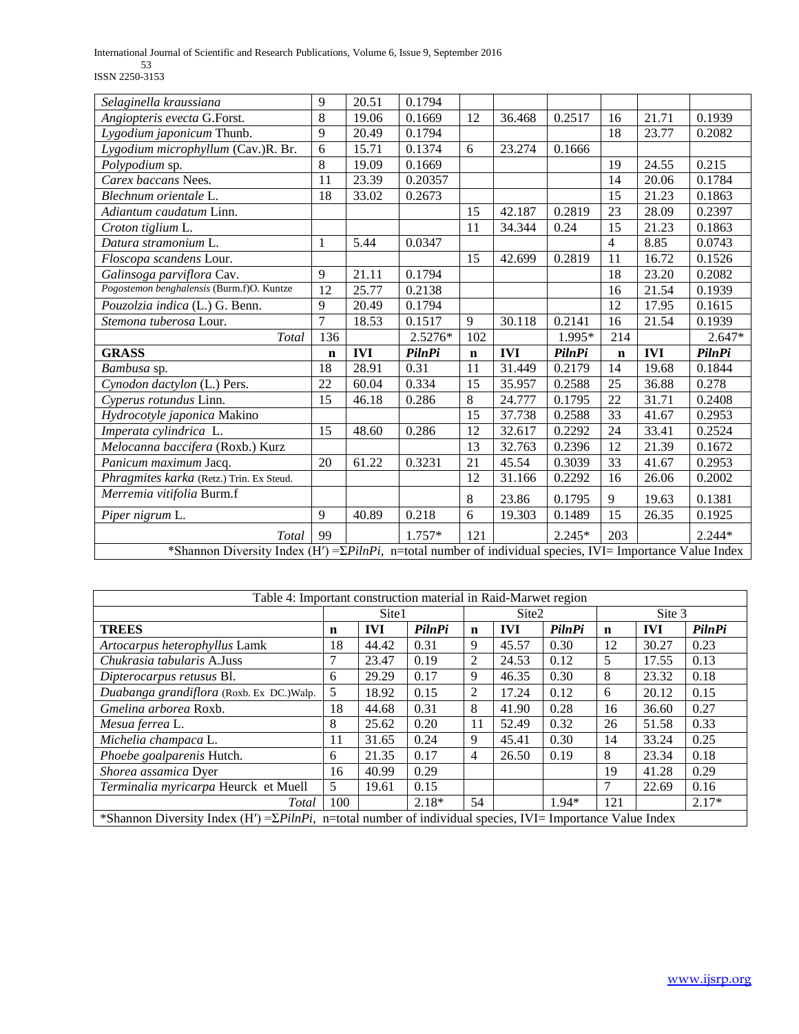International Journal of Scientific and Research Publications, Volume 6, Issue 9, September 2016 53 ISSN 2250-3153

| Selaginella kraussiana                    | 9              | 20.51      | 0.1794        |                 |            |               |                 |            |               |
|-------------------------------------------|----------------|------------|---------------|-----------------|------------|---------------|-----------------|------------|---------------|
| Angiopteris evecta G.Forst.               | 8              | 19.06      | 0.1669        | 12              | 36.468     | 0.2517        | 16              | 21.71      | 0.1939        |
| Lygodium japonicum Thunb.                 | 9              | 20.49      | 0.1794        |                 |            |               | 18              | 23.77      | 0.2082        |
| Lygodium microphyllum (Cav.)R. Br.        | 6              | 15.71      | 0.1374        | 6               | 23.274     | 0.1666        |                 |            |               |
| Polypodium sp.                            | 8              | 19.09      | 0.1669        |                 |            |               | 19              | 24.55      | 0.215         |
| Carex baccans Nees.                       | 11             | 23.39      | 0.20357       |                 |            |               | 14              | 20.06      | 0.1784        |
| Blechnum orientale L.                     | 18             | 33.02      | 0.2673        |                 |            |               | $\overline{15}$ | 21.23      | 0.1863        |
| Adiantum caudatum Linn.                   |                |            |               | 15              | 42.187     | 0.2819        | 23              | 28.09      | 0.2397        |
| Croton tiglium L.                         |                |            |               | 11              | 34.344     | 0.24          | $\overline{15}$ | 21.23      | 0.1863        |
| Datura stramonium L.                      | 1              | 5.44       | 0.0347        |                 |            |               | 4               | 8.85       | 0.0743        |
| Floscopa scandens Lour.                   |                |            |               | 15              | 42.699     | 0.2819        | 11              | 16.72      | 0.1526        |
| Galinsoga parviflora Cav.                 | 9              | 21.11      | 0.1794        |                 |            |               | 18              | 23.20      | 0.2082        |
| Pogostemon benghalensis (Burm.f)O. Kuntze | 12             | 25.77      | 0.2138        |                 |            |               | 16              | 21.54      | 0.1939        |
| Pouzolzia indica (L.) G. Benn.            | 9              | 20.49      | 0.1794        |                 |            |               | 12              | 17.95      | 0.1615        |
| Stemona tuberosa Lour.                    | $\overline{7}$ | 18.53      | 0.1517        | $\mathbf{Q}$    | 30.118     | 0.2141        | 16              | 21.54      | 0.1939        |
|                                           |                |            |               |                 |            |               |                 |            |               |
| <b>Total</b>                              | 136            |            | 2.5276*       | 102             |            | 1.995*        | 214             |            | $2.647*$      |
| <b>GRASS</b>                              | $\mathbf n$    | <b>IVI</b> | <b>PilnPi</b> | $\mathbf n$     | <b>IVI</b> | <b>PilnPi</b> | $\mathbf n$     | <b>IVI</b> | <b>PilnPi</b> |
| Bambusa sp.                               | 18             | 28.91      | 0.31          | 11              | 31.449     | 0.2179        | 14              | 19.68      | 0.1844        |
| Cynodon dactylon (L.) Pers.               | 22             | 60.04      | 0.334         | 15              | 35.957     | 0.2588        | 25              | 36.88      | 0.278         |
| Cyperus rotundus Linn.                    | 15             | 46.18      | 0.286         | 8               | 24.777     | 0.1795        | 22              | 31.71      | 0.2408        |
| Hydrocotyle japonica Makino               |                |            |               | 15              | 37.738     | 0.2588        | 33              | 41.67      | 0.2953        |
| Imperata cylindrica L.                    | 15             | 48.60      | 0.286         | 12              | 32.617     | 0.2292        | 24              | 33.41      | 0.2524        |
| Melocanna baccifera (Roxb.) Kurz          |                |            |               | $\overline{13}$ | 32.763     | 0.2396        | $\overline{12}$ | 21.39      | 0.1672        |
| Panicum maximum Jacq.                     | 20             | 61.22      | 0.3231        | 21              | 45.54      | 0.3039        | $\overline{33}$ | 41.67      | 0.2953        |
| Phragmites karka (Retz.) Trin. Ex Steud.  |                |            |               | $\overline{12}$ | 31.166     | 0.2292        | 16              | 26.06      | 0.2002        |
| Merremia vitifolia Burm.f                 |                |            |               | 8               | 23.86      | 0.1795        | 9               | 19.63      | 0.1381        |
| Piper nigrum L.                           | 9              | 40.89      | 0.218         | 6               | 19.303     | 0.1489        | 15              | 26.35      | 0.1925        |
| Total                                     | 99             |            | $1.757*$      | 121             |            | $2.245*$      | 203             |            | $2.244*$      |

| Table 4: Important construction material in Raid-Marwet region |                                                                                                                     |            |         |             |                   |               |               |            |         |  |  |  |
|----------------------------------------------------------------|---------------------------------------------------------------------------------------------------------------------|------------|---------|-------------|-------------------|---------------|---------------|------------|---------|--|--|--|
|                                                                | Site1                                                                                                               |            |         |             | Site <sub>2</sub> |               | Site 3        |            |         |  |  |  |
| <b>TREES</b>                                                   | n                                                                                                                   | <b>IVI</b> | PilnPi  | $\mathbf n$ | <b>IVI</b>        | <b>PilnPi</b> | n             | <b>IVI</b> | PilnPi  |  |  |  |
| Artocarpus heterophyllus Lamk                                  | 18                                                                                                                  | 44.42      | 0.31    | 9           | 45.57             | 0.30          | 12            | 30.27      | 0.23    |  |  |  |
| Chukrasia tabularis A.Juss                                     | 7                                                                                                                   | 23.47      | 0.19    | 2           | 24.53             | 0.12          | 5             | 17.55      | 0.13    |  |  |  |
| Dipterocarpus retusus Bl.                                      | 6                                                                                                                   | 29.29      | 0.17    | 9           | 46.35             | 0.30          | 8             | 23.32      | 0.18    |  |  |  |
| Duabanga grandiflora (Roxb. Ex DC.)Walp.                       | 5                                                                                                                   | 18.92      | 0.15    | 2           | 17.24             | 0.12          | 6             | 20.12      | 0.15    |  |  |  |
| Gmelina arborea Roxb.                                          | 18                                                                                                                  | 44.68      | 0.31    | 8           | 41.90             | 0.28          | 16            | 36.60      | 0.27    |  |  |  |
| Mesua ferrea L.                                                | 8                                                                                                                   | 25.62      | 0.20    | 11          | 52.49             | 0.32          | 26            | 51.58      | 0.33    |  |  |  |
| Michelia champaca L.                                           | 11                                                                                                                  | 31.65      | 0.24    | 9           | 45.41             | 0.30          | 14            | 33.24      | 0.25    |  |  |  |
| Phoebe goalparenis Hutch.                                      | 6                                                                                                                   | 21.35      | 0.17    | 4           | 26.50             | 0.19          | 8             | 23.34      | 0.18    |  |  |  |
| Shorea assamica Dyer                                           | 16                                                                                                                  | 40.99      | 0.29    |             |                   |               | 19            | 41.28      | 0.29    |  |  |  |
| Terminalia myricarpa Heurck et Muell                           | 5                                                                                                                   | 19.61      | 0.15    |             |                   |               | $\mathcal{I}$ | 22.69      | 0.16    |  |  |  |
| Total                                                          | 100                                                                                                                 |            | $2.18*$ | 54          |                   | $1.94*$       | 121           |            | $2.17*$ |  |  |  |
|                                                                | *Shannon Diversity Index (H') = $\Sigma$ PilnPi, n=total number of individual species, IVI = Importance Value Index |            |         |             |                   |               |               |            |         |  |  |  |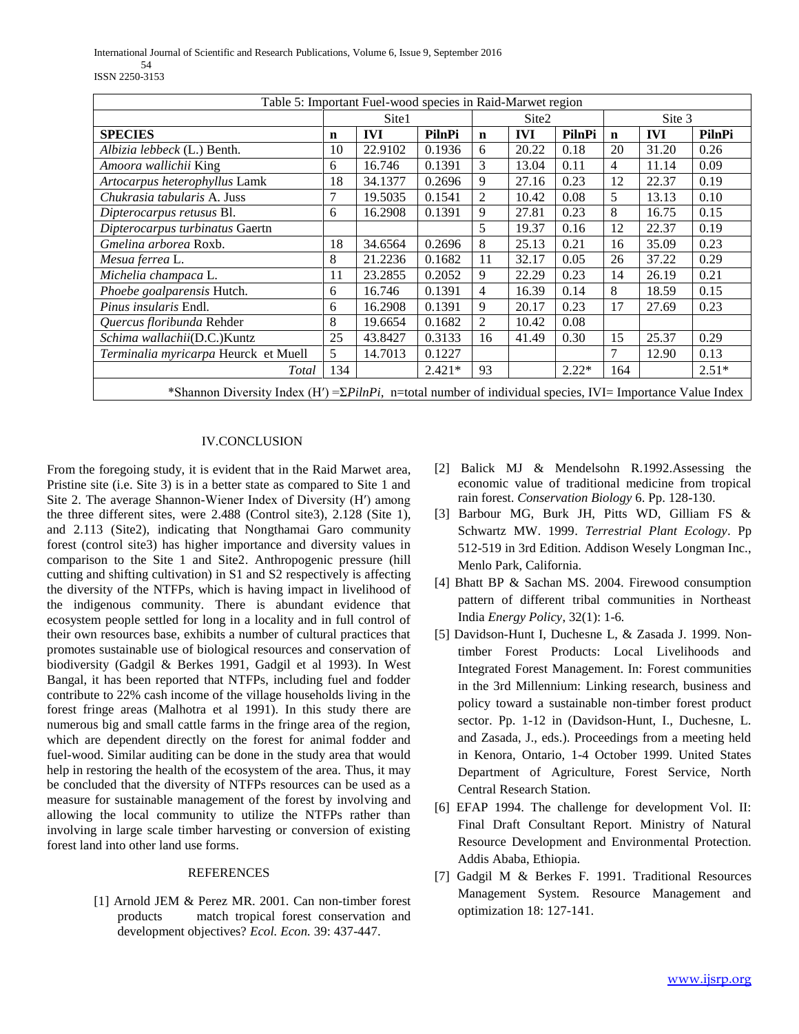International Journal of Scientific and Research Publications, Volume 6, Issue 9, September 2016 54 ISSN 2250-3153

| Table 5: Important Fuel-wood species in Raid-Marwet region                                                          |     |            |          |                |            |         |        |            |         |  |
|---------------------------------------------------------------------------------------------------------------------|-----|------------|----------|----------------|------------|---------|--------|------------|---------|--|
|                                                                                                                     |     | Site1      |          |                | Site2      |         | Site 3 |            |         |  |
| <b>SPECIES</b>                                                                                                      | n   | <b>IVI</b> | PilnPi   | $\mathbf n$    | <b>IVI</b> | PilnPi  | n      | <b>IVI</b> | PilnPi  |  |
| Albizia lebbeck (L.) Benth.                                                                                         | 10  | 22.9102    | 0.1936   | 6              | 20.22      | 0.18    | 20     | 31.20      | 0.26    |  |
| Amoora wallichii King                                                                                               | 6   | 16.746     | 0.1391   | 3              | 13.04      | 0.11    | 4      | 11.14      | 0.09    |  |
| Artocarpus heterophyllus Lamk                                                                                       | 18  | 34.1377    | 0.2696   | 9              | 27.16      | 0.23    | 12     | 22.37      | 0.19    |  |
| Chukrasia tabularis A. Juss                                                                                         | 7   | 19.5035    | 0.1541   | $\overline{2}$ | 10.42      | 0.08    | 5      | 13.13      | 0.10    |  |
| Dipterocarpus retusus Bl.                                                                                           | 6   | 16.2908    | 0.1391   | 9              | 27.81      | 0.23    | 8      | 16.75      | 0.15    |  |
| Dipterocarpus turbinatus Gaertn                                                                                     |     |            |          | 5              | 19.37      | 0.16    | 12     | 22.37      | 0.19    |  |
| Gmelina arborea Roxb.                                                                                               | 18  | 34.6564    | 0.2696   | 8              | 25.13      | 0.21    | 16     | 35.09      | 0.23    |  |
| Mesua ferrea L.                                                                                                     | 8   | 21.2236    | 0.1682   | 11             | 32.17      | 0.05    | 26     | 37.22      | 0.29    |  |
| Michelia champaca L.                                                                                                | 11  | 23.2855    | 0.2052   | 9              | 22.29      | 0.23    | 14     | 26.19      | 0.21    |  |
| Phoebe goalparensis Hutch.                                                                                          | 6   | 16.746     | 0.1391   | 4              | 16.39      | 0.14    | 8      | 18.59      | 0.15    |  |
| <i>Pinus insularis</i> Endl.                                                                                        | 6   | 16.2908    | 0.1391   | 9              | 20.17      | 0.23    | 17     | 27.69      | 0.23    |  |
| Quercus floribunda Rehder                                                                                           | 8   | 19.6654    | 0.1682   | $\overline{2}$ | 10.42      | 0.08    |        |            |         |  |
| Schima wallachii(D.C.)Kuntz                                                                                         | 25  | 43.8427    | 0.3133   | 16             | 41.49      | 0.30    | 15     | 25.37      | 0.29    |  |
| Terminalia myricarpa Heurck et Muell                                                                                | 5   | 14.7013    | 0.1227   |                |            |         | 7      | 12.90      | 0.13    |  |
| Total                                                                                                               | 134 |            | $2.421*$ | 93             |            | $2.22*$ | 164    |            | $2.51*$ |  |
| *Shannon Diversity Index (H') = $\Sigma$ PilnPi, n=total number of individual species, IVI = Importance Value Index |     |            |          |                |            |         |        |            |         |  |

## IV.CONCLUSION

From the foregoing study, it is evident that in the Raid Marwet area, Pristine site (i.e. Site 3) is in a better state as compared to Site 1 and Site 2. The average Shannon-Wiener Index of Diversity (H′) among the three different sites, were 2.488 (Control site3), 2.128 (Site 1), and 2.113 (Site2), indicating that Nongthamai Garo community forest (control site3) has higher importance and diversity values in comparison to the Site 1 and Site2. Anthropogenic pressure (hill cutting and shifting cultivation) in S1 and S2 respectively is affecting the diversity of the NTFPs, which is having impact in livelihood of the indigenous community. There is abundant evidence that ecosystem people settled for long in a locality and in full control of their own resources base, exhibits a number of cultural practices that promotes sustainable use of biological resources and conservation of biodiversity (Gadgil & Berkes 1991, Gadgil et al 1993). In West Bangal, it has been reported that NTFPs, including fuel and fodder contribute to 22% cash income of the village households living in the forest fringe areas (Malhotra et al 1991). In this study there are numerous big and small cattle farms in the fringe area of the region, which are dependent directly on the forest for animal fodder and fuel-wood. Similar auditing can be done in the study area that would help in restoring the health of the ecosystem of the area. Thus, it may be concluded that the diversity of NTFPs resources can be used as a measure for sustainable management of the forest by involving and allowing the local community to utilize the NTFPs rather than involving in large scale timber harvesting or conversion of existing forest land into other land use forms.

## **REFERENCES**

[1] Arnold JEM & Perez MR. 2001. Can non-timber forest products match tropical forest conservation and development objectives? *Ecol. Econ.* 39: 437-447.

- [2] Balick MJ & Mendelsohn R.1992.Assessing the economic value of traditional medicine from tropical rain forest. *Conservation Biology* 6. Pp. 128-130.
- [3] Barbour MG, Burk JH, Pitts WD, Gilliam FS & Schwartz MW. 1999. *Terrestrial Plant Ecology*. Pp 512-519 in 3rd Edition. Addison Wesely Longman Inc., Menlo Park, California.
- [4] Bhatt BP & Sachan MS. 2004. Firewood consumption pattern of different tribal communities in Northeast India *Energy Policy*, 32(1): 1-6*.*
- [5] Davidson-Hunt I, Duchesne L, & Zasada J. 1999. Nontimber Forest Products: Local Livelihoods and Integrated Forest Management. In: Forest communities in the 3rd Millennium: Linking research, business and policy toward a sustainable non-timber forest product sector. Pp. 1-12 in (Davidson-Hunt, I., Duchesne, L. and Zasada, J., eds.). Proceedings from a meeting held in Kenora, Ontario, 1-4 October 1999. United States Department of Agriculture, Forest Service, North Central Research Station.
- [6] EFAP 1994. The challenge for development Vol. II: Final Draft Consultant Report. Ministry of Natural Resource Development and Environmental Protection. Addis Ababa, Ethiopia.
- [7] Gadgil M & Berkes F. 1991. Traditional Resources Management System. Resource Management and optimization 18: 127-141.